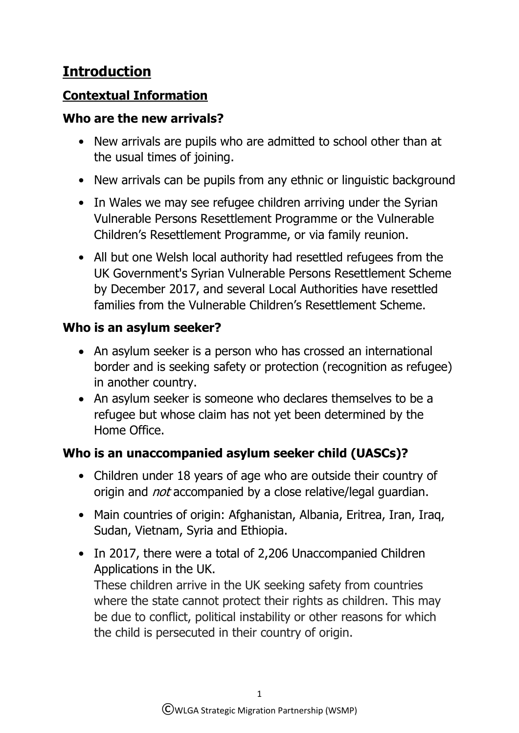# **Introduction**

## **Contextual Information**

#### **Who are the new arrivals?**

- New arrivals are pupils who are admitted to school other than at the usual times of joining.
- New arrivals can be pupils from any ethnic or linguistic background
- In Wales we may see refugee children arriving under the Syrian Vulnerable Persons Resettlement Programme or the Vulnerable Children's Resettlement Programme, or via family reunion.
- All but one Welsh local authority had resettled refugees from the UK Government's Syrian Vulnerable Persons Resettlement Scheme by December 2017, and several Local Authorities have resettled families from the Vulnerable Children's Resettlement Scheme.

### **Who is an asylum seeker?**

- An asylum seeker is a person who has crossed an international border and is seeking safety or protection (recognition as refugee) in another country.
- An asylum seeker is someone who declares themselves to be a refugee but whose claim has not yet been determined by the Home Office.

# **Who is an unaccompanied asylum seeker child (UASCs)?**

- Children under 18 years of age who are outside their country of origin and *not* accompanied by a close relative/legal guardian.
- Main countries of origin: Afghanistan, Albania, Eritrea, Iran, Iraq, Sudan, Vietnam, Syria and Ethiopia.
- In 2017, there were a total of 2,206 Unaccompanied Children Applications in the UK.

These children arrive in the UK seeking safety from countries where the state cannot protect their rights as children. This may be due to conflict, political instability or other reasons for which the child is persecuted in their country of origin.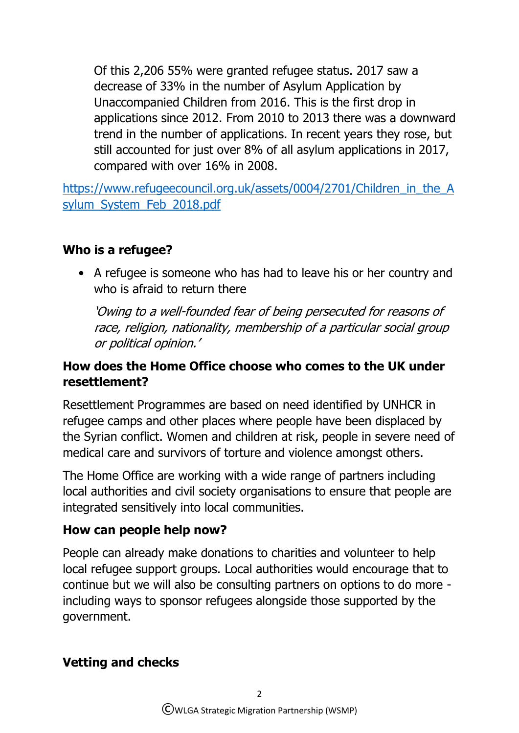Of this 2,206 55% were granted refugee status. 2017 saw a decrease of 33% in the number of Asylum Application by Unaccompanied Children from 2016. This is the first drop in applications since 2012. From 2010 to 2013 there was a downward trend in the number of applications. In recent years they rose, but still accounted for just over 8% of all asylum applications in 2017, compared with over 16% in 2008.

[https://www.refugeecouncil.org.uk/assets/0004/2701/Children\\_in\\_the\\_A](https://www.refugeecouncil.org.uk/assets/0004/2701/Children_in_the_Asylum_System_Feb_2018.pdf) [sylum\\_System\\_Feb\\_2018.pdf](https://www.refugeecouncil.org.uk/assets/0004/2701/Children_in_the_Asylum_System_Feb_2018.pdf)

### **Who is a refugee?**

• A refugee is someone who has had to leave his or her country and who is afraid to return there

'Owing to a well-founded fear of being persecuted for reasons of race, religion, nationality, membership of a particular social group or political opinion.'

#### **How does the Home Office choose who comes to the UK under resettlement?**

Resettlement Programmes are based on need identified by UNHCR in refugee camps and other places where people have been displaced by the Syrian conflict. Women and children at risk, people in severe need of medical care and survivors of torture and violence amongst others.

The Home Office are working with a wide range of partners including local authorities and civil society organisations to ensure that people are integrated sensitively into local communities.

#### **How can people help now?**

People can already make donations to charities and volunteer to help local refugee support groups. Local authorities would encourage that to continue but we will also be consulting partners on options to do more including ways to sponsor refugees alongside those supported by the government.

#### **Vetting and checks**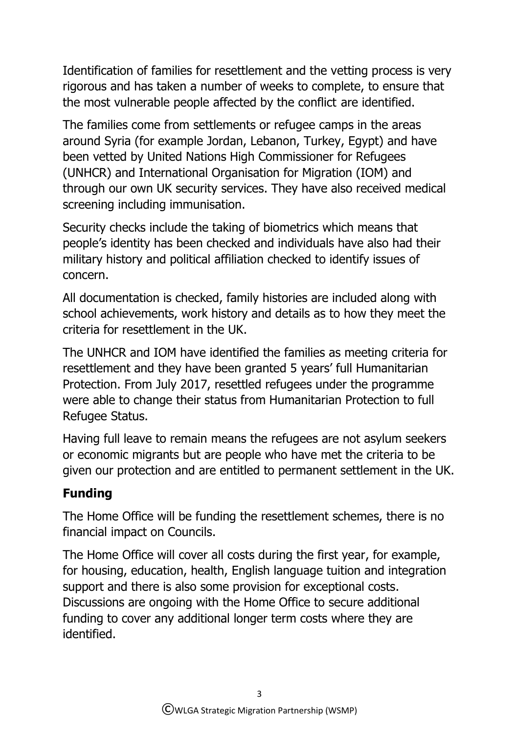Identification of families for resettlement and the vetting process is very rigorous and has taken a number of weeks to complete, to ensure that the most vulnerable people affected by the conflict are identified.

The families come from settlements or refugee camps in the areas around Syria (for example Jordan, Lebanon, Turkey, Egypt) and have been vetted by United Nations High Commissioner for Refugees (UNHCR) and International Organisation for Migration (IOM) and through our own UK security services. They have also received medical screening including immunisation.

Security checks include the taking of biometrics which means that people's identity has been checked and individuals have also had their military history and political affiliation checked to identify issues of concern.

All documentation is checked, family histories are included along with school achievements, work history and details as to how they meet the criteria for resettlement in the UK.

The UNHCR and IOM have identified the families as meeting criteria for resettlement and they have been granted 5 years' full Humanitarian Protection. From July 2017, resettled refugees under the programme were able to change their status from Humanitarian Protection to full Refugee Status.

Having full leave to remain means the refugees are not asylum seekers or economic migrants but are people who have met the criteria to be given our protection and are entitled to permanent settlement in the UK.

# **Funding**

The Home Office will be funding the resettlement schemes, there is no financial impact on Councils.

The Home Office will cover all costs during the first year, for example, for housing, education, health, English language tuition and integration support and there is also some provision for exceptional costs. Discussions are ongoing with the Home Office to secure additional funding to cover any additional longer term costs where they are identified.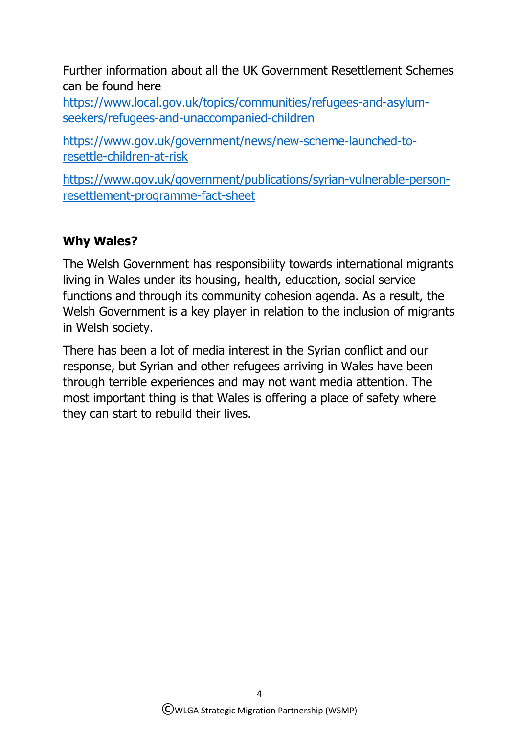Further information about all the UK Government Resettlement Schemes can be found here

[https://www.local.gov.uk/topics/communities/refugees-and-asylum](https://www.local.gov.uk/topics/communities/refugees-and-asylum-seekers/refugees-and-unaccompanied-children)[seekers/refugees-and-unaccompanied-children](https://www.local.gov.uk/topics/communities/refugees-and-asylum-seekers/refugees-and-unaccompanied-children)

[https://www.gov.uk/government/news/new-scheme-launched-to](https://www.gov.uk/government/news/new-scheme-launched-to-resettle-children-at-risk)[resettle-children-at-risk](https://www.gov.uk/government/news/new-scheme-launched-to-resettle-children-at-risk)

[https://www.gov.uk/government/publications/syrian-vulnerable-person](https://www.gov.uk/government/publications/syrian-vulnerable-person-resettlement-programme-fact-sheet)[resettlement-programme-fact-sheet](https://www.gov.uk/government/publications/syrian-vulnerable-person-resettlement-programme-fact-sheet)

## **Why Wales?**

The Welsh Government has responsibility towards international migrants living in Wales under its housing, health, education, social service functions and through its community cohesion agenda. As a result, the Welsh Government is a key player in relation to the inclusion of migrants in Welsh society.

There has been a lot of media interest in the Syrian conflict and our response, but Syrian and other refugees arriving in Wales have been through terrible experiences and may not want media attention. The most important thing is that Wales is offering a place of safety where they can start to rebuild their lives.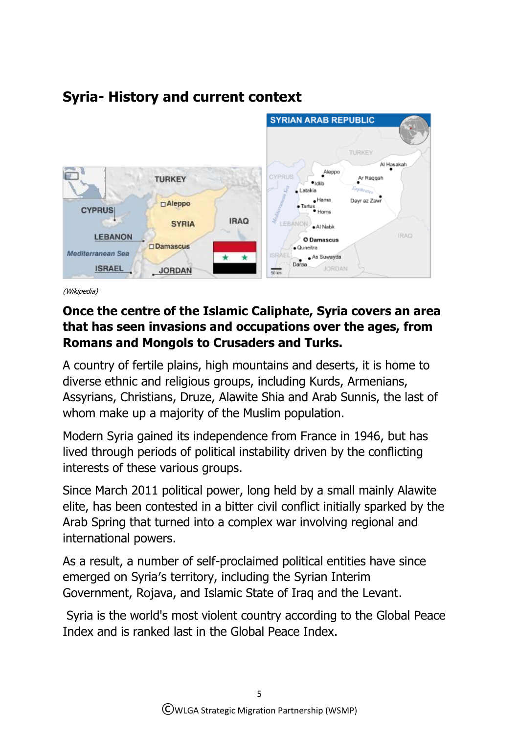

# **Syria- History and current context**

(Wikipedia)

### **Once the centre of the Islamic Caliphate, Syria covers an area that has seen invasions and occupations over the ages, from Romans and Mongols to Crusaders and Turks.**

A country of fertile plains, high mountains and deserts, it is home to diverse ethnic and religious groups, including Kurds, Armenians, Assyrians, Christians, Druze, Alawite Shia and Arab Sunnis, the last of whom make up a majority of the Muslim population.

Modern Syria gained its independence from France in 1946, but has lived through periods of political instability driven by the conflicting interests of these various groups.

Since March 2011 political power, long held by a small mainly Alawite elite, has been contested in a bitter civil conflict initially sparked by the Arab Spring that turned into a complex war involving regional and international powers.

As a result, a number of self-proclaimed political entities have since emerged on Syria′s territory, including the [Syrian Interim](https://en.wikipedia.org/wiki/Syrian_Interim_Government)  [Government,](https://en.wikipedia.org/wiki/Syrian_Interim_Government) [Rojava,](https://en.wikipedia.org/wiki/Rojava) and [Islamic State of Iraq and the Levant.](https://en.wikipedia.org/wiki/Islamic_State_of_Iraq_and_the_Levant)

Syria is the world's most violent country according to the [Global Peace](https://en.wikipedia.org/wiki/Global_Peace_Index)  [Index](https://en.wikipedia.org/wiki/Global_Peace_Index) and is ranked last in the [Global Peace Index.](https://en.wikipedia.org/wiki/Global_Peace_Index)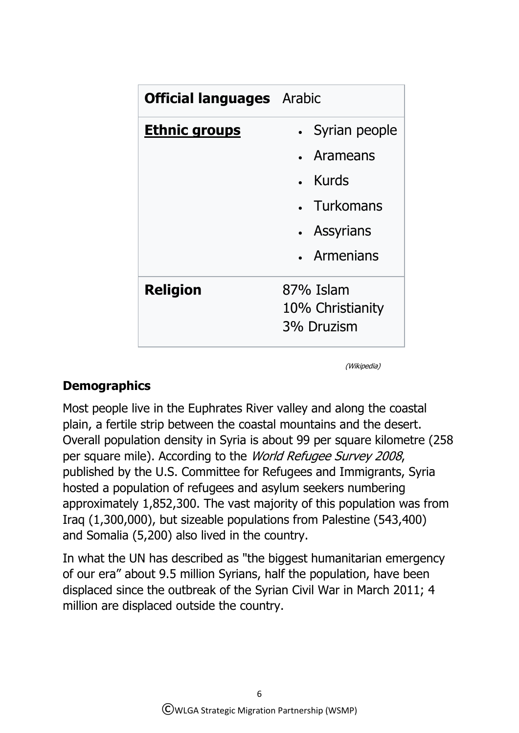| <b>Official languages</b> Arabic |                  |
|----------------------------------|------------------|
| <u>Ethnic groups</u>             | Syrian people    |
|                                  | • Arameans       |
|                                  | Kurds            |
|                                  | • Turkomans      |
|                                  | • Assyrians      |
|                                  | • Armenians      |
| <b>Religion</b>                  | 87% Islam        |
|                                  | 10% Christianity |
|                                  | 3% Druzism       |

(Wikipedia)

### **Demographics**

Most people live in the [Euphrates River](https://en.wikipedia.org/wiki/Euphrates_River) valley and along the coastal plain, a fertile strip between the coastal mountains and the desert. Overall population density in Syria is about 99 per square kilometre (258 per square mile). According to the *World Refugee Survey 2008*, published by the U.S. Committee for Refugees and Immigrants, Syria hosted a population of refugees and asylum seekers numbering approximately 1,852,300. The vast majority of this population was from Iraq (1,300,000), but sizeable populations from [Palestine](https://en.wikipedia.org/wiki/Palestine_(region)) (543,400) and [Somalia](https://en.wikipedia.org/wiki/Somalia) (5,200) also lived in the country.

In what the UN has described as "the biggest humanitarian emergency of our era" about 9.5 million Syrians, half the population, have been displaced since the outbreak of the [Syrian Civil War](https://en.wikipedia.org/wiki/Syrian_Civil_War) in March 2011; 4 million are displaced outside the country.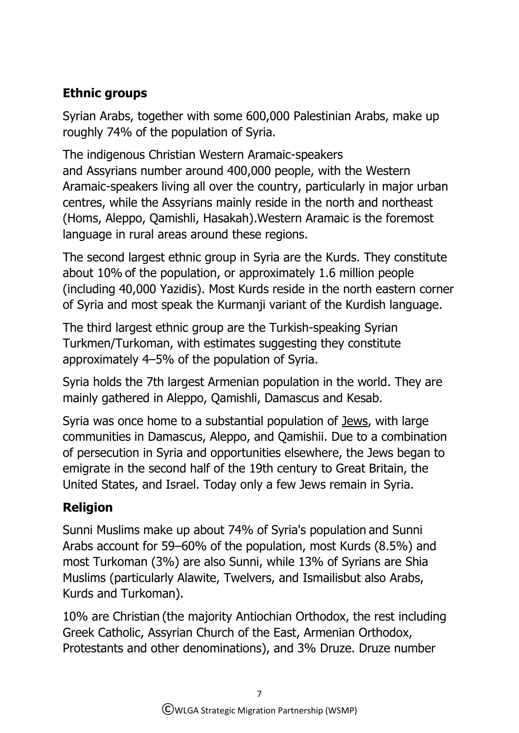# **Ethnic groups**

[Syrian Arabs,](https://en.wikipedia.org/wiki/Syrian_people) together with some 600,000 [Palestinian](https://en.wikipedia.org/wiki/Palestinians_in_Syria) Arabs, make up roughly 74% of the population of Syria.

The indigenous Christian [Western Aramaic-](https://en.wikipedia.org/wiki/Western_Neo-Aramaic)speakers and [Assyrians](https://en.wikipedia.org/wiki/Assyrians_in_Syria) number around 400,000 people, with the Western Aramaic-speakers living all over the country, particularly in major urban centres, while the Assyrians mainly reside in the north and northeast (Homs, Aleppo, Qamishli, Hasakah).Western Aramaic is the foremost language in rural areas around these regions.

The second largest ethnic group in Syria are the [Kurds.](https://en.wikipedia.org/wiki/Kurds_in_Syria) They constitute about 10% of the population, or approximately 1.6 million people (including 40,000 [Yazidis\)](https://en.wikipedia.org/wiki/Yazidis). Most Kurds reside in the north eastern corner of Syria and most speak the [Kurmanji](https://en.wikipedia.org/wiki/Kurmanji) variant of the [Kurdish language.](https://en.wikipedia.org/wiki/Kurdish_language)

The third largest ethnic group are the [Turkish-](https://en.wikipedia.org/wiki/Turkish_language)speaking [Syrian](https://en.wikipedia.org/wiki/Syrian_Turkmen)  [Turkmen/Turkoman,](https://en.wikipedia.org/wiki/Syrian_Turkmen) with estimates suggesting they constitute approximately 4–5% of the population of Syria.

Syria holds the [7th largest Armenian population in the world.](https://en.wikipedia.org/wiki/Armenian_diaspora) They are mainly gathered in Aleppo, [Qamishli,](https://en.wikipedia.org/wiki/Qamishli) Damascus and [Kesab.](https://en.wikipedia.org/wiki/Kesab)

Syria was once home to a substantial population of [Jews,](https://en.wikipedia.org/wiki/History_of_the_Jews_in_Syria) with large communities in Damascus, Aleppo, and Qamishii. Due to a combination of persecution in Syria and opportunities elsewhere, the Jews began to emigrate in the second half of the 19th century to Great Britain, the United States, and Israel. Today only a few Jews remain in Syria.

# **Religion**

[Sunni Muslims](https://en.wikipedia.org/wiki/Sunni_Muslims) make up about 74% of Syria's population and Sunni Arabs account for 59–60% of the population, most Kurds (8.5%) and most Turkoman (3%) are also Sunni, while 13% of Syrians are [Shia](https://en.wikipedia.org/wiki/Shia_Muslims)  [Muslims](https://en.wikipedia.org/wiki/Shia_Muslims) (particularly [Alawite,](https://en.wikipedia.org/wiki/Alawite) [Twelvers,](https://en.wikipedia.org/wiki/Twelvers) and [Ismailisb](https://en.wikipedia.org/wiki/Ismailis)ut also Arabs, Kurds and Turkoman).

10% are Christian (the majority Antiochian Orthodox, the rest including Greek Catholic, Assyrian Church of the East, Armenian Orthodox, Protestants and other denominations), and 3% [Druze.](https://en.wikipedia.org/wiki/Druze) Druze number